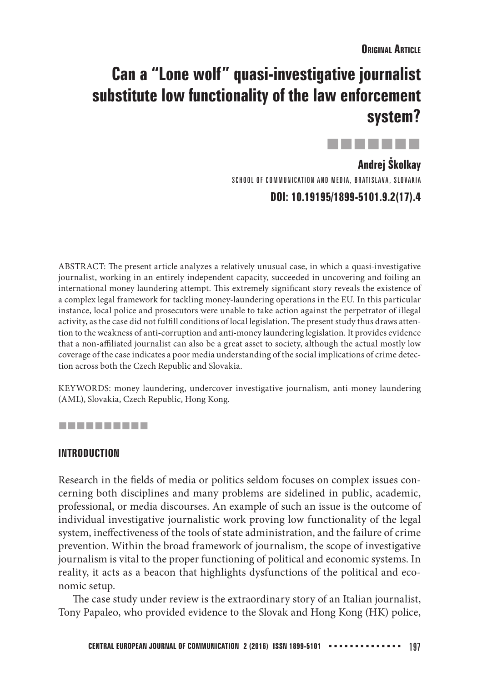# **Can a "Lone wolf" quasi-investigative journalist substitute low functionality of the law enforcement system?**

. . . . .

**Andrej Školkay** SCHOOL OF COMMUNICATION AND MEDIA, BRATISLAVA, SLOVAKIA **DOI: 10.19195/1899-5101.9.2(17).4**

ABSTRACT: The present article analyzes a relatively unusual case, in which a quasi-investigative journalist, working in an entirely independent capacity, succeeded in uncovering and foiling an international money laundering attempt. This extremely significant story reveals the existence of a complex legal framework for tackling money-laundering operations in the EU. In this particular instance, local police and prosecutors were unable to take action against the perpetrator of illegal activity, as the case did not fulfill conditions of local legislation. The present study thus draws attention to the weakness of anti-corruption and anti-money laundering legislation. It provides evidence that a non-affiliated journalist can also be a great asset to society, although the actual mostly low coverage of the case indicates a poor media understanding of the social implications of crime detection across both the Czech Republic and Slovakia.

KEYWORDS: money laundering, undercover investigative journalism, anti-money laundering (AML), Slovakia, Czech Republic, Hong Kong.

## ----------

## **INTRODUCTION**

Research in the fields of media or politics seldom focuses on complex issues concerning both disciplines and many problems are sidelined in public, academic, professional, or media discourses. An example of such an issue is the outcome of individual investigative journalistic work proving low functionality of the legal system, ineffectiveness of the tools of state administration, and the failure of crime prevention. Within the broad framework of journalism, the scope of investigative journalism is vital to the proper functioning of political and economic systems. In reality, it acts as a beacon that highlights dysfunctions of the political and economic setup.

The case study under review is the extraordinary story of an Italian journalist, Tony Papaleo, who provided evidence to the Slovak and Hong Kong (HK) police,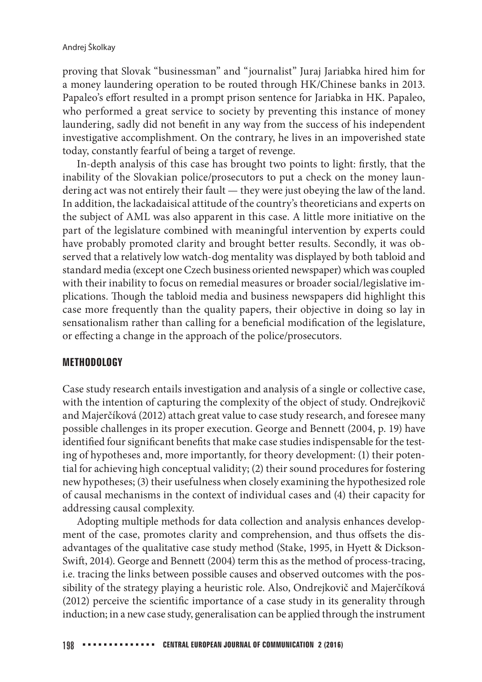proving that Slovak "businessman" and "journalist" Juraj Jariabka hired him for a money laundering operation to be routed through HK/Chinese banks in 2013. Papaleo's effort resulted in a prompt prison sentence for Jariabka in HK. Papaleo, who performed a great service to society by preventing this instance of money laundering, sadly did not benefit in any way from the success of his independent investigative accomplishment. On the contrary, he lives in an impoverished state today, constantly fearful of being a target of revenge.

In-depth analysis of this case has brought two points to light: firstly, that the inability of the Slovakian police/prosecutors to put a check on the money laundering act was not entirely their fault — they were just obeying the law of the land. In addition, the lackadaisical attitude of the country's theoreticians and experts on the subject of AML was also apparent in this case. A little more initiative on the part of the legislature combined with meaningful intervention by experts could have probably promoted clarity and brought better results. Secondly, it was observed that a relatively low watch-dog mentality was displayed by both tabloid and standard media (except one Czech business oriented newspaper) which was coupled with their inability to focus on remedial measures or broader social/legislative implications. Though the tabloid media and business newspapers did highlight this case more frequently than the quality papers, their objective in doing so lay in sensationalism rather than calling for a beneficial modification of the legislature, or effecting a change in the approach of the police/prosecutors.

## **METHODOLOGY**

Case study research entails investigation and analysis of a single or collective case, with the intention of capturing the complexity of the object of study. Ondrejkovič and Majerčíková (2012) attach great value to case study research, and foresee many possible challenges in its proper execution. George and Bennett (2004, p. 19) have identified four significant benefits that make case studies indispensable for the testing of hypotheses and, more importantly, for theory development: (1) their potential for achieving high conceptual validity; (2) their sound procedures for fostering new hypotheses; (3) their usefulness when closely examining the hypothesized role of causal mechanisms in the context of individual cases and (4) their capacity for addressing causal complexity.

Adopting multiple methods for data collection and analysis enhances development of the case, promotes clarity and comprehension, and thus offsets the disadvantages of the qualitative case study method (Stake, 1995, in Hyett & Dickson-Swift, 2014). George and Bennett (2004) term this as the method of process-tracing, i.e. tracing the links between possible causes and observed outcomes with the possibility of the strategy playing a heuristic role. Also, Ondrejkovič and Majerčíková  $(2012)$  perceive the scientific importance of a case study in its generality through induction; in a new case study, generalisation can be applied through the instrument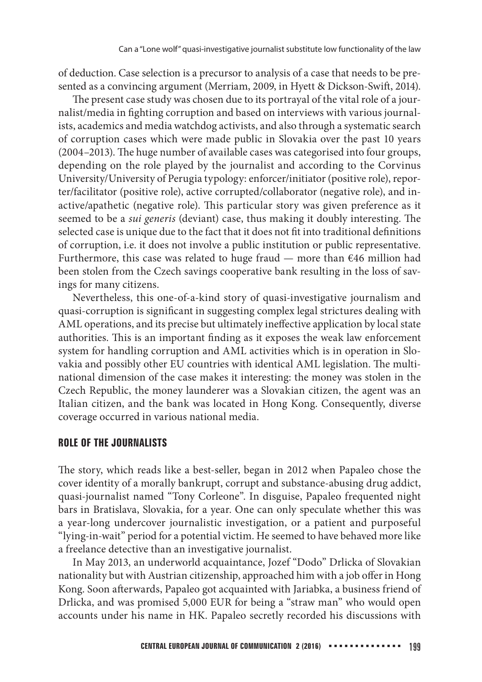of deduction. Case selection is a precursor to analysis of a case that needs to be presented as a convincing argument (Merriam, 2009, in Hyett & Dickson-Swift, 2014).

The present case study was chosen due to its portrayal of the vital role of a journalist/media in fighting corruption and based on interviews with various journalists, academics and media watchdog activists, and also through a systematic search of corruption cases which were made public in Slovakia over the past 10 years  $(2004–2013)$ . The huge number of available cases was categorised into four groups, depending on the role played by the journalist and according to the Corvinus University/University of Perugia typology: enforcer/initiator (positive role), reporter/facilitator (positive role), active corrupted/collaborator (negative role), and inactive/apathetic (negative role). This particular story was given preference as it seemed to be a *sui generis* (deviant) case, thus making it doubly interesting. The selected case is unique due to the fact that it does not fit into traditional definitions of corruption, i.e. it does not involve a public institution or public representative. Furthermore, this case was related to huge fraud — more than  $646$  million had been stolen from the Czech savings cooperative bank resulting in the loss of savings for many citizens.

Nevertheless, this one-of-a-kind story of quasi-investigative journalism and quasi-corruption is significant in suggesting complex legal strictures dealing with AML operations, and its precise but ultimately ineffective application by local state authorities. This is an important finding as it exposes the weak law enforcement system for handling corruption and AML activities which is in operation in Slovakia and possibly other EU countries with identical AML legislation. The multinational dimension of the case makes it interesting: the money was stolen in the Czech Republic, the money launderer was a Slovakian citizen, the agent was an Italian citizen, and the bank was located in Hong Kong. Consequently, diverse coverage occurred in various national media.

## **ROLE OF THE JOURNALISTS**

The story, which reads like a best-seller, began in 2012 when Papaleo chose the cover identity of a morally bankrupt, corrupt and substance-abusing drug addict, quasi-journalist named "Tony Corleone". In disguise, Papaleo frequented night bars in Bratislava, Slovakia, for a year. One can only speculate whether this was a year-long undercover journalistic investigation, or a patient and purposeful "lying-in-wait" period for a potential victim. He seemed to have behaved more like a freelance detective than an investigative journalist.

In May 2013, an underworld acquaintance, Jozef "Dodo" Drlicka of Slovakian nationality but with Austrian citizenship, approached him with a job offer in Hong Kong. Soon afterwards, Papaleo got acquainted with Jariabka, a business friend of Drlicka, and was promised 5,000 EUR for being a "straw man" who would open accounts under his name in HK. Papaleo secretly recorded his discussions with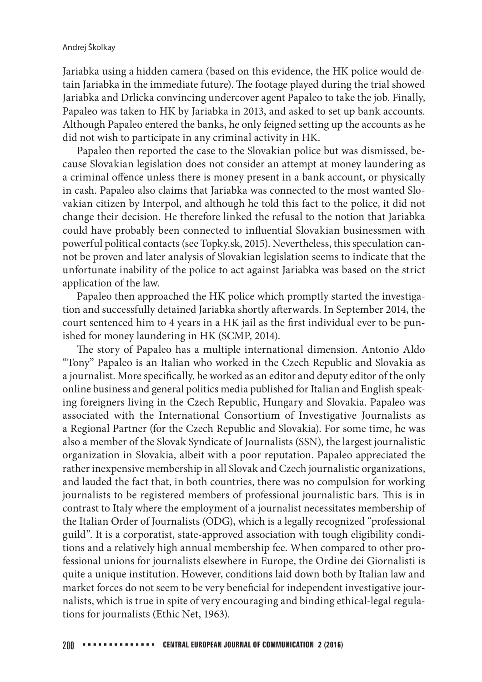Jariabka using a hidden camera (based on this evidence, the HK police would detain Jariabka in the immediate future). The footage played during the trial showed Jariabka and Drlicka convincing undercover agent Papaleo to take the job. Finally, Papaleo was taken to HK by Jariabka in 2013, and asked to set up bank accounts. Although Papaleo entered the banks, he only feigned setting up the accounts as he did not wish to participate in any criminal activity in HK.

Papaleo then reported the case to the Slovakian police but was dismissed, because Slovakian legislation does not consider an attempt at money laundering as a criminal offence unless there is money present in a bank account, or physically in cash. Papaleo also claims that Jariabka was connected to the most wanted Slovakian citizen by Interpol, and although he told this fact to the police, it did not change their decision. He therefore linked the refusal to the notion that Jariabka could have probably been connected to influential Slovakian businessmen with powerful political contacts (see Topky.sk, 2015). Nevertheless, this speculation cannot be proven and later analysis of Slovakian legislation seems to indicate that the unfortunate inability of the police to act against Jariabka was based on the strict application of the law.

Papaleo then approached the HK police which promptly started the investigation and successfully detained Jariabka shortly afterwards. In September 2014, the court sentenced him to 4 years in a HK jail as the first individual ever to be punished for money laundering in HK (SCMP, 2014).

The story of Papaleo has a multiple international dimension. Antonio Aldo "Tony" Papaleo is an Italian who worked in the Czech Republic and Slovakia as a journalist. More specifically, he worked as an editor and deputy editor of the only online business and general politics media published for Italian and English speaking foreigners living in the Czech Republic, Hungary and Slovakia. Papaleo was associated with the International Consortium of Investigative Journalists as a Regional Partner (for the Czech Republic and Slovakia). For some time, he was also a member of the Slovak Syndicate of Journalists (SSN), the largest journalistic organization in Slovakia, albeit with a poor reputation. Papaleo appreciated the rather inexpensive membership in all Slovak and Czech journalistic organizations, and lauded the fact that, in both countries, there was no compulsion for working journalists to be registered members of professional journalistic bars. This is in contrast to Italy where the employment of a journalist necessitates membership of the Italian Order of Journalists (ODG), which is a legally recognized "professional guild". It is a corporatist, state-approved association with tough eligibility conditions and a relatively high annual membership fee. When compared to other professional unions for journalists elsewhere in Europe, the Ordine dei Giornalisti is quite a unique institution. However, conditions laid down both by Italian law and market forces do not seem to be very beneficial for independent investigative journalists, which is true in spite of very encouraging and binding ethical-legal regulations for journalists (Ethic Net, 1963).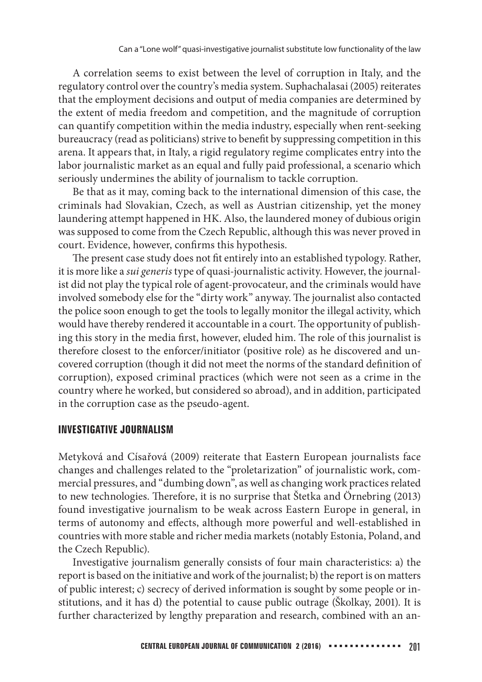A correlation seems to exist between the level of corruption in Italy, and the regulatory control over the country's media system. Suphachalasai (2005) reiterates that the employment decisions and output of media companies are determined by the extent of media freedom and competition, and the magnitude of corruption can quantify competition within the media industry, especially when rent-seeking bureaucracy (read as politicians) strive to benefit by suppressing competition in this arena. It appears that, in Italy, a rigid regulatory regime complicates entry into the labor journalistic market as an equal and fully paid professional, a scenario which seriously undermines the ability of journalism to tackle corruption.

Be that as it may, coming back to the international dimension of this case, the criminals had Slovakian, Czech, as well as Austrian citizenship, yet the money laundering attempt happened in HK. Also, the laundered money of dubious origin was supposed to come from the Czech Republic, although this was never proved in court. Evidence, however, confirms this hypothesis.

The present case study does not fit entirely into an established typology. Rather, it is more like a sui generis type of quasi-journalistic activity. However, the journalist did not play the typical role of agent-provocateur, and the criminals would have involved somebody else for the "dirty work" anyway. The journalist also contacted the police soon enough to get the tools to legally monitor the illegal activity, which would have thereby rendered it accountable in a court. The opportunity of publishing this story in the media first, however, eluded him. The role of this journalist is therefore closest to the enforcer/initiator (positive role) as he discovered and uncovered corruption (though it did not meet the norms of the standard definition of corruption), exposed criminal practices (which were not seen as a crime in the country where he worked, but considered so abroad), and in addition, participated in the corruption case as the pseudo-agent.

## **INVESTIGATIVE JOURNALISM**

Metyková and Císařová (2009) reiterate that Eastern European journalists face changes and challenges related to the "proletarization" of journalistic work, commercial pressures, and "dumbing down", as well as changing work practices related to new technologies. Therefore, it is no surprise that Štetka and Örnebring (2013) found investigative journalism to be weak across Eastern Europe in general, in terms of autonomy and effects, although more powerful and well-established in countries with more stable and richer media markets (notably Estonia, Poland, and the Czech Republic).

Investigative journalism generally consists of four main characteristics: a) the report is based on the initiative and work of the journalist; b) the report is on matters of public interest; c) secrecy of derived information is sought by some people or institutions, and it has d) the potential to cause public outrage (Školkay, 2001). It is further characterized by lengthy preparation and research, combined with an an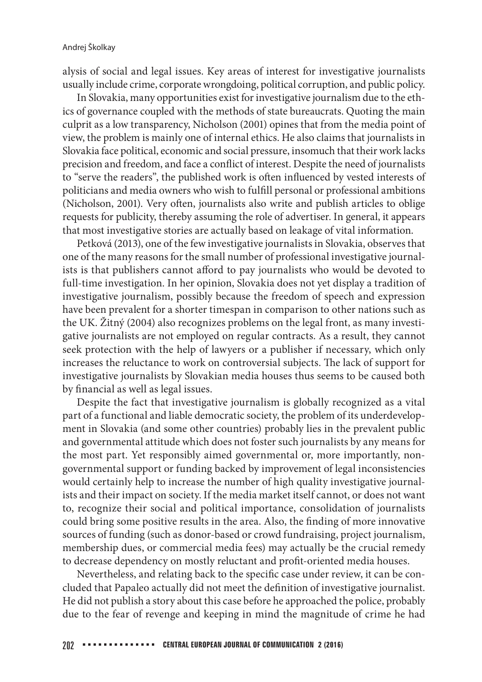alysis of social and legal issues. Key areas of interest for investigative journalists usually include crime, corporate wrongdoing, political corruption, and public policy.

In Slovakia, many opportunities exist for investigative journalism due to the ethics of governance coupled with the methods of state bureaucrats. Quoting the main culprit as a low transparency, Nicholson (2001) opines that from the media point of view, the problem is mainly one of internal ethics. He also claims that journalists in Slovakia face political, economic and social pressure, insomuch that their work lacks precision and freedom, and face a conflict of interest. Despite the need of journalists to "serve the readers", the published work is often influenced by vested interests of politicians and media owners who wish to fulfill personal or professional ambitions (Nicholson, 2001). Very often, journalists also write and publish articles to oblige requests for publicity, thereby assuming the role of advertiser. In general, it appears that most investigative stories are actually based on leakage of vital information.

Petková (2013), one of the few investigative journalists in Slovakia, observes that one of the many reasons for the small number of professional investigative journalists is that publishers cannot afford to pay journalists who would be devoted to full-time investigation. In her opinion, Slovakia does not yet display a tradition of investigative journalism, possibly because the freedom of speech and expression have been prevalent for a shorter timespan in comparison to other nations such as the UK. Žitný (2004) also recognizes problems on the legal front, as many investigative journalists are not employed on regular contracts. As a result, they cannot seek protection with the help of lawyers or a publisher if necessary, which only increases the reluctance to work on controversial subjects. The lack of support for investigative journalists by Slovakian media houses thus seems to be caused both by financial as well as legal issues.

Despite the fact that investigative journalism is globally recognized as a vital part of a functional and liable democratic society, the problem of its underdevelopment in Slovakia (and some other countries) probably lies in the prevalent public and governmental attitude which does not foster such journalists by any means for the most part. Yet responsibly aimed governmental or, more importantly, nongovernmental support or funding backed by improvement of legal inconsistencies would certainly help to increase the number of high quality investigative journalists and their impact on society. If the media market itself cannot, or does not want to, recognize their social and political importance, consolidation of journalists could bring some positive results in the area. Also, the finding of more innovative sources of funding (such as donor-based or crowd fundraising, project journalism, membership dues, or commercial media fees) may actually be the crucial remedy to decrease dependency on mostly reluctant and profit-oriented media houses.

Nevertheless, and relating back to the specific case under review, it can be concluded that Papaleo actually did not meet the definition of investigative journalist. He did not publish a story about this case before he approached the police, probably due to the fear of revenge and keeping in mind the magnitude of crime he had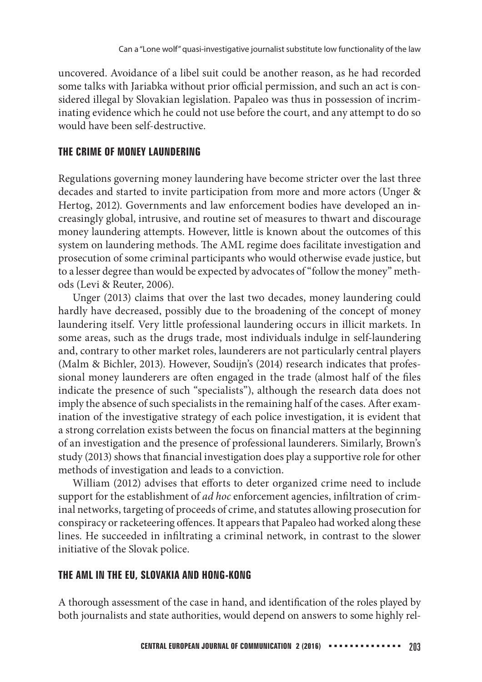uncovered. Avoidance of a libel suit could be another reason, as he had recorded some talks with Jariabka without prior official permission, and such an act is considered illegal by Slovakian legislation. Papaleo was thus in possession of incriminating evidence which he could not use before the court, and any attempt to do so would have been self-destructive.

# **THE CRIME OF MONEY LAUNDERING**

Regulations governing money laundering have become stricter over the last three decades and started to invite participation from more and more actors (Unger & Hertog, 2012). Governments and law enforcement bodies have developed an increasingly global, intrusive, and routine set of measures to thwart and discourage money laundering attempts. However, little is known about the outcomes of this system on laundering methods. The AML regime does facilitate investigation and prosecution of some criminal participants who would otherwise evade justice, but to a lesser degree than would be expected by advocates of "follow the money" methods (Levi & Reuter, 2006).

Unger (2013) claims that over the last two decades, money laundering could hardly have decreased, possibly due to the broadening of the concept of money laundering itself. Very little professional laundering occurs in illicit markets. In some areas, such as the drugs trade, most individuals indulge in self-laundering and, contrary to other market roles, launderers are not particularly central players (Malm & Bichler, 2013). However, Soudijn's (2014) research indicates that professional money launderers are often engaged in the trade (almost half of the files indicate the presence of such "specialists"), although the research data does not imply the absence of such specialists in the remaining half of the cases. After examination of the investigative strategy of each police investigation, it is evident that a strong correlation exists between the focus on financial matters at the beginning of an investigation and the presence of professional launderers. Similarly, Brown's study (2013) shows that financial investigation does play a supportive role for other methods of investigation and leads to a conviction.

William (2012) advises that efforts to deter organized crime need to include support for the establishment of *ad hoc* enforcement agencies, infiltration of criminal networks, targeting of proceeds of crime, and statutes allowing prosecution for conspiracy or racketeering offences. It appears that Papaleo had worked along these lines. He succeeded in infiltrating a criminal network, in contrast to the slower initiative of the Slovak police.

# **THE AML IN THE EU, SLOVAKIA AND HONG-KONG**

A thorough assessment of the case in hand, and identification of the roles played by both journalists and state authorities, would depend on answers to some highly rel-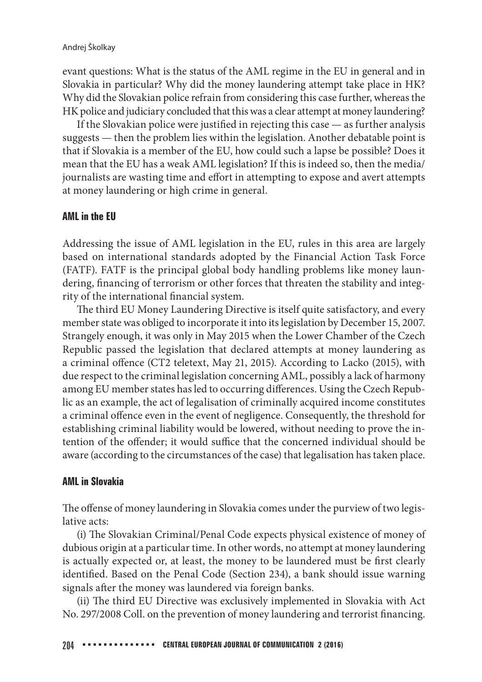evant questions: What is the status of the AML regime in the EU in general and in Slovakia in particular? Why did the money laundering attempt take place in HK? Why did the Slovakian police refrain from considering this case further, whereas the HK police and judiciary concluded that this was a clear attempt at money laundering?

If the Slovakian police were justified in rejecting this case  $-$  as further analysis suggests — then the problem lies within the legislation. Another debatable point is that if Slovakia is a member of the EU, how could such a lapse be possible? Does it mean that the EU has a weak AML legislation? If this is indeed so, then the media/ journalists are wasting time and effort in attempting to expose and avert attempts at money laundering or high crime in general.

## **AML in the EU**

Addressing the issue of AML legislation in the EU, rules in this area are largely based on international standards adopted by the Financial Action Task Force (FATF). FATF is the principal global body handling problems like money laundering, financing of terrorism or other forces that threaten the stability and integrity of the international financial system.

The third EU Money Laundering Directive is itself quite satisfactory, and every member state was obliged to incorporate it into its legislation by December 15, 2007. Strangely enough, it was only in May 2015 when the Lower Chamber of the Czech Republic passed the legislation that declared attempts at money laundering as a criminal offence (CT2 teletext, May 21, 2015). According to Lacko (2015), with due respect to the criminal legislation concerning AML, possibly a lack of harmony among EU member states has led to occurring differences. Using the Czech Republic as an example, the act of legalisation of criminally acquired income constitutes a criminal offence even in the event of negligence. Consequently, the threshold for establishing criminal liability would be lowered, without needing to prove the intention of the offender; it would suffice that the concerned individual should be aware (according to the circumstances of the case) that legalisation has taken place.

## **AML in Slovakia**

The offense of money laundering in Slovakia comes under the purview of two legislative acts:

(i) The Slovakian Criminal/Penal Code expects physical existence of money of dubious origin at a particular time. In other words, no attempt at money laundering is actually expected or, at least, the money to be laundered must be first clearly identified. Based on the Penal Code (Section 234), a bank should issue warning signals after the money was laundered via foreign banks.

(ii) The third EU Directive was exclusively implemented in Slovakia with Act No. 297/2008 Coll. on the prevention of money laundering and terrorist financing.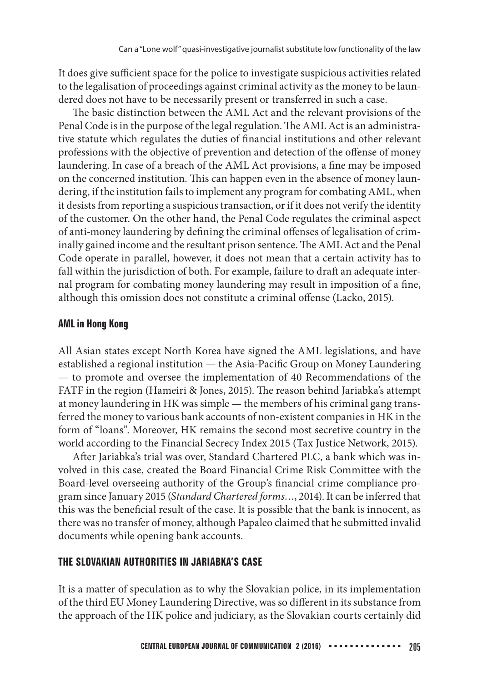It does give sufficient space for the police to investigate suspicious activities related to the legalisation of proceedings against criminal activity as the money to be laundered does not have to be necessarily present or transferred in such a case.

The basic distinction between the AML Act and the relevant provisions of the Penal Code is in the purpose of the legal regulation. The AML Act is an administrative statute which regulates the duties of financial institutions and other relevant professions with the objective of prevention and detection of the offense of money laundering. In case of a breach of the AML Act provisions, a fine may be imposed on the concerned institution. This can happen even in the absence of money laundering, if the institution fails to implement any program for combating AML, when it desists from reporting a suspicious transaction, or if it does not verify the identity of the customer. On the other hand, the Penal Code regulates the criminal aspect of anti-money laundering by defining the criminal offenses of legalisation of criminally gained income and the resultant prison sentence. The AML Act and the Penal Code operate in parallel, however, it does not mean that a certain activity has to fall within the jurisdiction of both. For example, failure to draft an adequate internal program for combating money laundering may result in imposition of a fine, although this omission does not constitute a criminal offense (Lacko, 2015).

# **AML in Hong Kong**

All Asian states except North Korea have signed the AML legislations, and have established a regional institution — the Asia-Pacific Group on Money Laundering — to promote and oversee the implementation of 40 Recommendations of the FATF in the region (Hameiri & Jones, 2015). The reason behind Jariabka's attempt at money laundering in HK was simple — the members of his criminal gang transferred the money to various bank accounts of non-existent companies in HK in the form of "loans". Moreover, HK remains the second most secretive country in the world according to the Financial Secrecy Index 2015 (Tax Justice Network, 2015).

After Jariabka's trial was over, Standard Chartered PLC, a bank which was involved in this case, created the Board Financial Crime Risk Committee with the Board-level overseeing authority of the Group's financial crime compliance program since January 2015 (Standard Chartered forms…, 2014). It can be inferred that this was the beneficial result of the case. It is possible that the bank is innocent, as there was no transfer of money, although Papaleo claimed that he submitted invalid documents while opening bank accounts.

# **THE SLOVAKIAN AUTHORITIES IN JARIABKA'S CASE**

It is a matter of speculation as to why the Slovakian police, in its implementation of the third EU Money Laundering Directive, was so different in its substance from the approach of the HK police and judiciary, as the Slovakian courts certainly did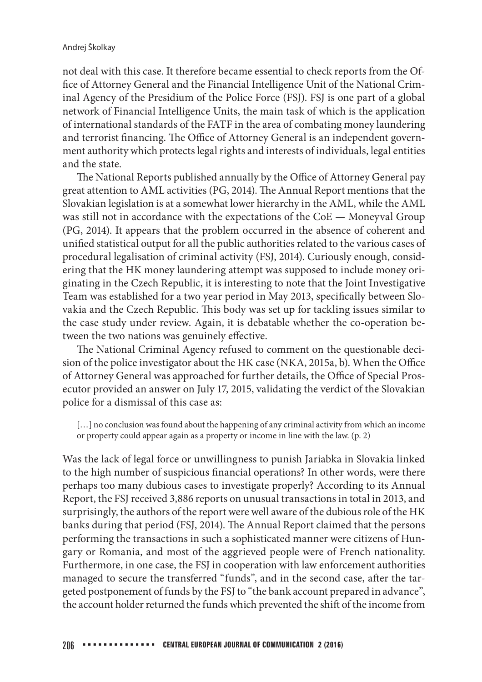#### Andrej Školkay

not deal with this case. It therefore became essential to check reports from the Of fice of Attorney General and the Financial Intelligence Unit of the National Criminal Agency of the Presidium of the Police Force (FSJ). FSJ is one part of a global network of Financial Intelligence Units, the main task of which is the application of international standards of the FATF in the area of combating money laundering and terrorist financing. The Office of Attorney General is an independent government authority which protects legal rights and interests of individuals, legal entities and the state.

The National Reports published annually by the Office of Attorney General pay great attention to AML activities ( $PG$ , 2014). The Annual Report mentions that the Slovakian legislation is at a somewhat lower hierarchy in the AML, while the AML was still not in accordance with the expectations of the CoE — Moneyval Group (PG, 2014). It appears that the problem occurred in the absence of coherent and unified statistical output for all the public authorities related to the various cases of procedural legalisation of criminal activity (FSJ, 2014). Curiously enough, considering that the HK money laundering attempt was supposed to include money originating in the Czech Republic, it is interesting to note that the Joint Investigative Team was established for a two year period in May 2013, specifically between Slovakia and the Czech Republic. This body was set up for tackling issues similar to the case study under review. Again, it is debatable whether the co-operation between the two nations was genuinely effective.

The National Criminal Agency refused to comment on the questionable decision of the police investigator about the HK case (NKA, 2015a, b). When the Office of Attorney General was approached for further details, the Office of Special Prosecutor provided an answer on July 17, 2015, validating the verdict of the Slovakian police for a dismissal of this case as:

[...] no conclusion was found about the happening of any criminal activity from which an income or property could appear again as a property or income in line with the law. (p. 2)

Was the lack of legal force or unwillingness to punish Jariabka in Slovakia linked to the high number of suspicious financial operations? In other words, were there perhaps too many dubious cases to investigate properly? According to its Annual Report, the FSJ received 3,886 reports on unusual transactions in total in 2013, and surprisingly, the authors of the report were well aware of the dubious role of the HK banks during that period (FSJ, 2014). The Annual Report claimed that the persons performing the transactions in such a sophisticated manner were citizens of Hungary or Romania, and most of the aggrieved people were of French nationality. Furthermore, in one case, the FSJ in cooperation with law enforcement authorities managed to secure the transferred "funds", and in the second case, after the targeted postponement of funds by the FSJ to "the bank account prepared in advance", the account holder returned the funds which prevented the shift of the income from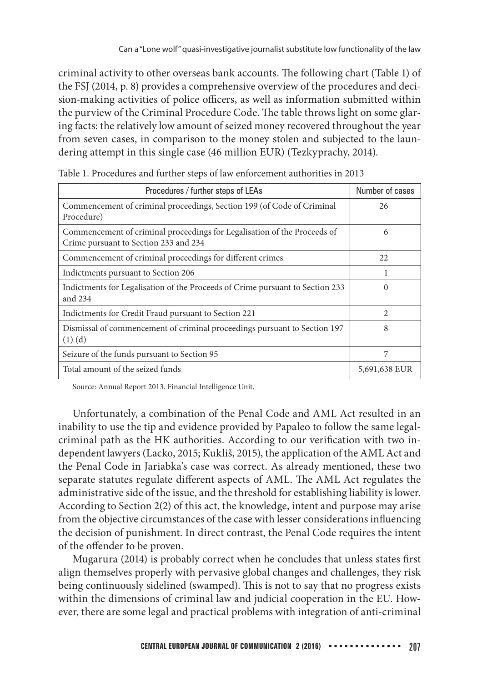criminal activity to other overseas bank accounts. The following chart (Table 1) of the FSJ (2014, p. 8) provides a comprehensive overview of the procedures and decision-making activities of police officers, as well as information submitted within the purview of the Criminal Procedure Code. The table throws light on some glaring facts: the relatively low amount of seized money recovered throughout the year from seven cases, in comparison to the money stolen and subjected to the laundering attempt in this single case (46 million EUR) (Tezkyprachy, 2014).

| Procedures / further steps of LEAs                                                                                | Number of cases             |  |  |
|-------------------------------------------------------------------------------------------------------------------|-----------------------------|--|--|
| Commencement of criminal proceedings, Section 199 (of Code of Criminal<br>Procedure)                              | 26                          |  |  |
| Commencement of criminal proceedings for Legalisation of the Proceeds of<br>Crime pursuant to Section 233 and 234 | 6                           |  |  |
| Commencement of criminal proceedings for different crimes                                                         | 22                          |  |  |
| Indictments pursuant to Section 206                                                                               |                             |  |  |
| Indictments for Legalisation of the Proceeds of Crime pursuant to Section 233<br>and $234$                        | $\Omega$                    |  |  |
| Indictments for Credit Fraud pursuant to Section 221                                                              | $\mathcal{D}_{\mathcal{L}}$ |  |  |
| Dismissal of commencement of criminal proceedings pursuant to Section 197<br>$(1)$ $(d)$                          | 8                           |  |  |
| Seizure of the funds pursuant to Section 95                                                                       | 7                           |  |  |
| Total amount of the seized funds                                                                                  | 5,691,638 EUR               |  |  |

| Table 1. Procedures and further steps of law enforcement authorities in 2013 |  |  |  |  |  |  |  |  |
|------------------------------------------------------------------------------|--|--|--|--|--|--|--|--|
|------------------------------------------------------------------------------|--|--|--|--|--|--|--|--|

Source: Annual Report 2013. Financial Intelligence Unit.

Unfortunately, a combination of the Penal Code and AML Act resulted in an inability to use the tip and evidence provided by Papaleo to follow the same legalcriminal path as the HK authorities. According to our verification with two independent lawyers (Lacko, 2015; Kukliš, 2015), the application of the AML Act and the Penal Code in Jariabka's case was correct. As already mentioned, these two separate statutes regulate different aspects of AML. The AML Act regulates the administrative side of the issue, and the threshold for establishing liability is lower. According to Section 2(2) of this act, the knowledge, intent and purpose may arise from the objective circumstances of the case with lesser considerations influencing the decision of punishment. In direct contrast, the Penal Code requires the intent of the offender to be proven.

Mugarura (2014) is probably correct when he concludes that unless states first align themselves properly with pervasive global changes and challenges, they risk being continuously sidelined (swamped). This is not to say that no progress exists within the dimensions of criminal law and judicial cooperation in the EU. However, there are some legal and practical problems with integration of anti-criminal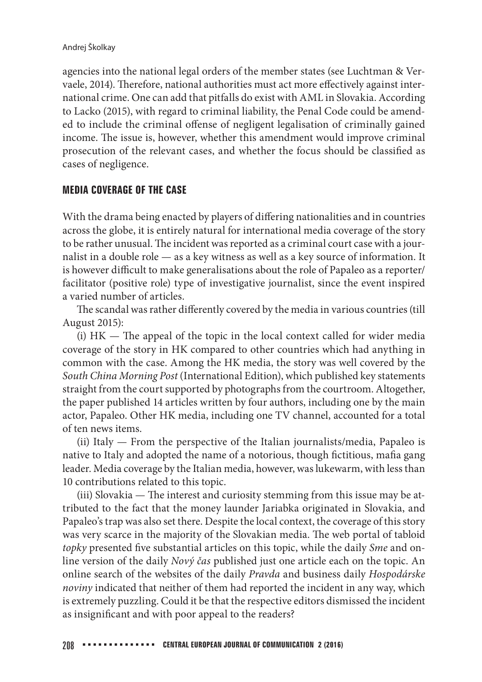#### Andrej Školkay

agencies into the national legal orders of the member states (see Luchtman & Vervaele, 2014). Therefore, national authorities must act more effectively against international crime. One can add that pitfalls do exist with AML in Slovakia. According to Lacko (2015), with regard to criminal liability, the Penal Code could be amended to include the criminal offense of negligent legalisation of criminally gained income. The issue is, however, whether this amendment would improve criminal prosecution of the relevant cases, and whether the focus should be classified as cases of negligence.

## **MEDIA COVERAGE OF THE CASE**

With the drama being enacted by players of differing nationalities and in countries across the globe, it is entirely natural for international media coverage of the story to be rather unusual. The incident was reported as a criminal court case with a journalist in a double role — as a key witness as well as a key source of information. It is however difficult to make generalisations about the role of Papaleo as a reporter/ facilitator (positive role) type of investigative journalist, since the event inspired a varied number of articles.

The scandal was rather differently covered by the media in various countries (till August 2015):

(i)  $HK$  — The appeal of the topic in the local context called for wider media coverage of the story in HK compared to other countries which had anything in common with the case. Among the HK media, the story was well covered by the South China Morning Post (International Edition), which published key statements straight from the court supported by photographs from the courtroom. Altogether, the paper published 14 articles written by four authors, including one by the main actor, Papaleo. Other HK media, including one TV channel, accounted for a total of ten news items.

(ii) Italy — From the perspective of the Italian journalists/media, Papaleo is native to Italy and adopted the name of a notorious, though fictitious, mafia gang leader. Media coverage by the Italian media, however, was lukewarm, with less than 10 contributions related to this topic.

(iii) Slovakia  $-$  The interest and curiosity stemming from this issue may be attributed to the fact that the money launder Jariabka originated in Slovakia, and Papaleo's trap was also set there. Despite the local context, the coverage of this story was very scarce in the majority of the Slovakian media. The web portal of tabloid topky presented five substantial articles on this topic, while the daily *Sme* and online version of the daily Nový čas published just one article each on the topic. An online search of the websites of the daily Pravda and business daily Hospodárske noviny indicated that neither of them had reported the incident in any way, which is extremely puzzling. Could it be that the respective editors dismissed the incident as insignificant and with poor appeal to the readers?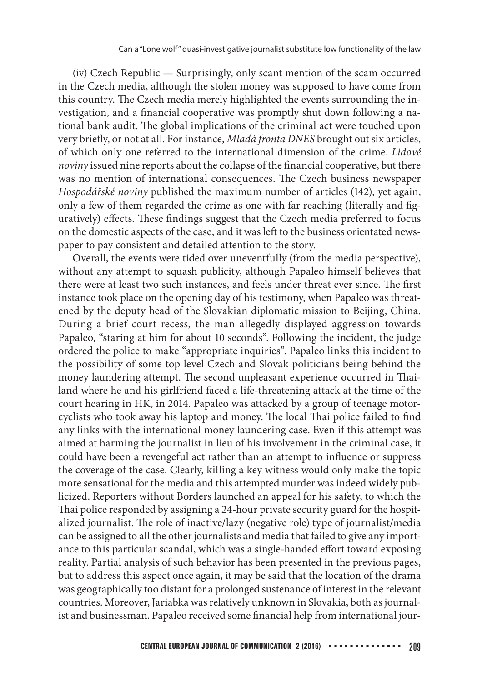(iv) Czech Republic — Surprisingly, only scant mention of the scam occurred in the Czech media, although the stolen money was supposed to have come from this country. The Czech media merely highlighted the events surrounding the investigation, and a financial cooperative was promptly shut down following a national bank audit. The global implications of the criminal act were touched upon very briefly, or not at all. For instance, Mladá fronta DNES brought out six articles, of which only one referred to the international dimension of the crime. Lidové noviny issued nine reports about the collapse of the financial cooperative, but there was no mention of international consequences. The Czech business newspaper Hospodářské noviny published the maximum number of articles (142), yet again, only a few of them regarded the crime as one with far reaching (literally and figuratively) effects. These findings suggest that the Czech media preferred to focus on the domestic aspects of the case, and it was left to the business orientated newspaper to pay consistent and detailed attention to the story.

Overall, the events were tided over uneventfully (from the media perspective), without any attempt to squash publicity, although Papaleo himself believes that there were at least two such instances, and feels under threat ever since. The first instance took place on the opening day of his testimony, when Papaleo was threatened by the deputy head of the Slovakian diplomatic mission to Beijing, China. During a brief court recess, the man allegedly displayed aggression towards Papaleo, "staring at him for about 10 seconds". Following the incident, the judge ordered the police to make "appropriate inquiries". Papaleo links this incident to the possibility of some top level Czech and Slovak politicians being behind the money laundering attempt. The second unpleasant experience occurred in Thailand where he and his girlfriend faced a life-threatening attack at the time of the court hearing in HK, in 2014. Papaleo was attacked by a group of teenage motorcyclists who took away his laptop and money. The local Thai police failed to find any links with the international money laundering case. Even if this attempt was aimed at harming the journalist in lieu of his involvement in the criminal case, it could have been a revengeful act rather than an attempt to influence or suppress the coverage of the case. Clearly, killing a key witness would only make the topic more sensational for the media and this attempted murder was indeed widely publicized. Reporters without Borders launched an appeal for his safety, to which the Thai police responded by assigning a 24-hour private security guard for the hospitalized journalist. The role of inactive/lazy (negative role) type of journalist/media can be assigned to all the other journalists and media that failed to give any importance to this particular scandal, which was a single-handed effort toward exposing reality. Partial analysis of such behavior has been presented in the previous pages, but to address this aspect once again, it may be said that the location of the drama was geographically too distant for a prolonged sustenance of interest in the relevant countries. Moreover, Jariabka was relatively unknown in Slovakia, both as journalist and businessman. Papaleo received some financial help from international jour-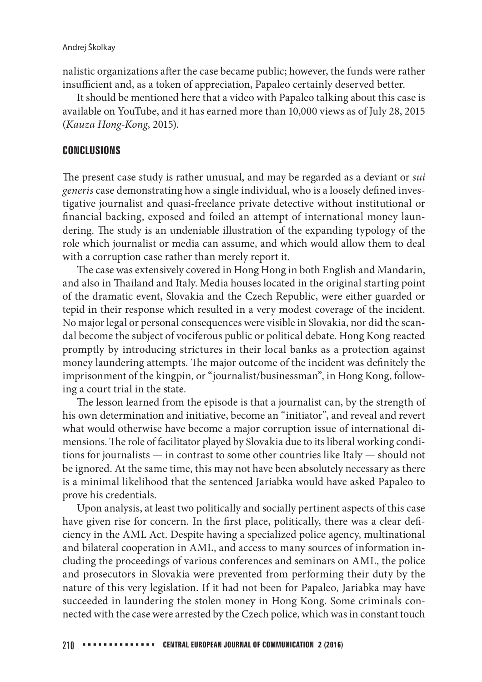#### Andrej Školkay

nalistic organizations after the case became public; however, the funds were rather insufficient and, as a token of appreciation, Papaleo certainly deserved better.

It should be mentioned here that a video with Papaleo talking about this case is available on YouTube, and it has earned more than 10,000 views as of July 28, 2015 (Kauza Hong-Kong, 2015).

## **CONCLUSIONS**

The present case study is rather unusual, and may be regarded as a deviant or *sui* generis case demonstrating how a single individual, who is a loosely defined investigative journalist and quasi-freelance private detective without institutional or financial backing, exposed and foiled an attempt of international money laundering. The study is an undeniable illustration of the expanding typology of the role which journalist or media can assume, and which would allow them to deal with a corruption case rather than merely report it.

The case was extensively covered in Hong Hong in both English and Mandarin, and also in Thailand and Italy. Media houses located in the original starting point of the dramatic event, Slovakia and the Czech Republic, were either guarded or tepid in their response which resulted in a very modest coverage of the incident. No major legal or personal consequences were visible in Slovakia, nor did the scandal become the subject of vociferous public or political debate. Hong Kong reacted promptly by introducing strictures in their local banks as a protection against money laundering attempts. The major outcome of the incident was definitely the imprisonment of the kingpin, or "journalist/businessman", in Hong Kong, following a court trial in the state.

The lesson learned from the episode is that a journalist can, by the strength of his own determination and initiative, become an "initiator", and reveal and revert what would otherwise have become a major corruption issue of international dimensions. The role of facilitator played by Slovakia due to its liberal working conditions for journalists — in contrast to some other countries like Italy — should not be ignored. At the same time, this may not have been absolutely necessary as there is a minimal likelihood that the sentenced Jariabka would have asked Papaleo to prove his credentials.

Upon analysis, at least two politically and socially pertinent aspects of this case have given rise for concern. In the first place, politically, there was a clear deficiency in the AML Act. Despite having a specialized police agency, multinational and bilateral cooperation in AML, and access to many sources of information including the proceedings of various conferences and seminars on AML, the police and prosecutors in Slovakia were prevented from performing their duty by the nature of this very legislation. If it had not been for Papaleo, Jariabka may have succeeded in laundering the stolen money in Hong Kong. Some criminals connected with the case were arrested by the Czech police, which was in constant touch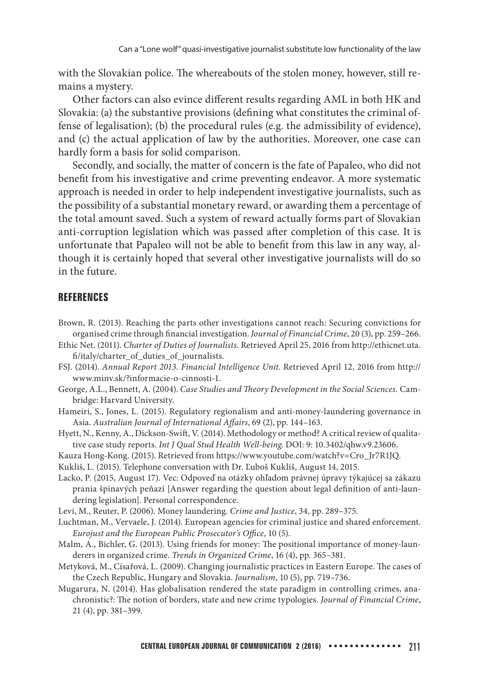with the Slovakian police. The whereabouts of the stolen money, however, still remains a mystery.

Other factors can also evince different results regarding AML in both HK and Slovakia: (a) the substantive provisions (defining what constitutes the criminal offense of legalisation); (b) the procedural rules (e.g. the admissibility of evidence), and (c) the actual application of law by the authorities. Moreover, one case can hardly form a basis for solid comparison.

Secondly, and socially, the matter of concern is the fate of Papaleo, who did not benefit from his investigative and crime preventing endeavor. A more systematic approach is needed in order to help independent investigative journalists, such as the possibility of a substantial monetary reward, or awarding them a percentage of the total amount saved. Such a system of reward actually forms part of Slovakian anti-corruption legislation which was passed after completion of this case. It is unfortunate that Papaleo will not be able to benefit from this law in any way, although it is certainly hoped that several other investigative journalists will do so in the future.

#### **REFERENCES**

- Brown, R. (2013). Reaching the parts other investigations cannot reach: Securing convictions for organised crime through financial investigation. Journal of Financial Crime, 20 (3), pp. 259–266.
- Ethic Net. (2011). Charter of Duties of Journalists. Retrieved April 25, 2016 from http://ethicnet.uta. /italy/charter\_of\_duties\_of\_journalists.
- FSJ. (2014). Annual Report 2013. Financial Intelligence Unit. Retrieved April 12, 2016 from http:// www.minv.sk/?informacie-o-cinnosti-1.
- George, A.L., Bennett, A. (2004). Case Studies and Theory Development in the Social Sciences. Cambridge: Harvard University.
- Hameiri, S., Jones, L. (2015). Regulatory regionalism and anti-money-laundering governance in Asia. Australian Journal of International Affairs, 69 (2), pp. 144-163.

Hyett, N., Kenny, A., Dickson-Swift, V. (2014). Methodology or method? A critical review of qualitative case study reports. Int J Qual Stud Health Well-being. DOI: 9: 10.3402/qhw.v9.23606.

- Kauza Hong-Kong. (2015). Retrieved from https://www.youtube.com/watch?v=Cro\_Jr7R1JQ.
- Kukliš, L. (2015). Telephone conversation with Dr. Ľuboš Kukliš, August 14, 2015.
- Lacko, P. (2015, August 17). Vec: Odpoveď na otázky ohľadom právnej úpravy týkajúcej sa zákazu prania špinavých peňazí [Answer regarding the question about legal definition of anti-laundering legislation]. Personal correspondence.

Levi, M., Reuter, P. (2006). Money laundering. Crime and Justice, 34, pp. 289–375.

- Luchtman, M., Vervaele, J. (2014). European agencies for criminal justice and shared enforcement. Eurojust and the European Public Prosecutor's Office, 10 (5).
- Malm, A., Bichler, G. (2013). Using friends for money: The positional importance of money-launderers in organized crime. Trends in Organized Crime, 16 (4), pp. 365–381.
- Metyková, M., Císařová, L. (2009). Changing journalistic practices in Eastern Europe. The cases of the Czech Republic, Hungary and Slovakia. Journalism, 10 (5), pp. 719–736.
- Mugarura, N. (2014). Has globalisation rendered the state paradigm in controlling crimes, anachronistic?: The notion of borders, state and new crime typologies. Journal of Financial Crime, 21 (4), pp. 381–399.